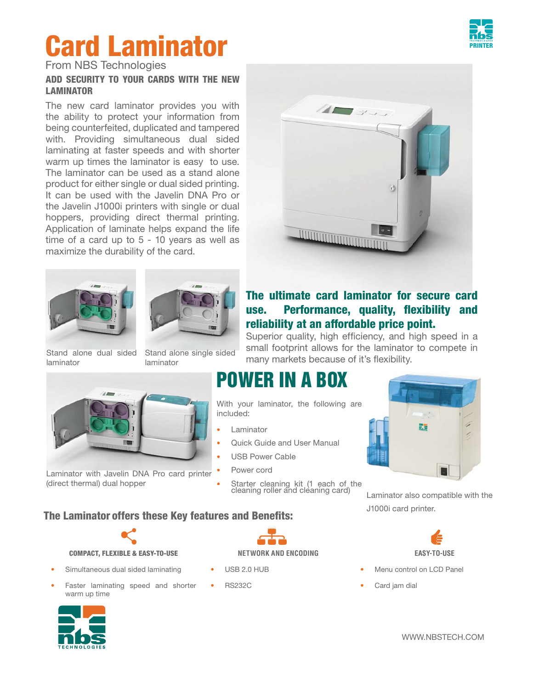## **Card Laminator**

From NBS Technologies

#### **ADD SECURITY TO YOUR CARDS WITH THE NEW LAMINATOR**

The new card laminator provides you with the ability to protect your information from being counterfeited, duplicated and tampered with. Providing simultaneous dual sided laminating at faster speeds and with shorter warm up times the laminator is easy to use. The laminator can be used as a stand alone product for either single or dual sided printing. It can be used with the Javelin DNA Pro or the Javelin J1000i printers with single or dual hoppers, providing direct thermal printing. Application of laminate helps expand the life time of a card up to 5 - 10 years as well as maximize the durability of the card.





Stand alone dual sided laminator

Stand alone single sided laminator



Laminator with Javelin DNA Pro card printer (direct thermal) dual hopper

### **POWER IN A BOX**

With your laminator, the following are included:

- **Laminator**
- Quick Guide and User Manual
- USB Power Cable
- Power cord
- Starter cleaning kit (1 each of the cleaning roller and cleaning card)

#### **The Laminator offers these Key features and Benefits:**



#### **COMPACT, FLEXIBLE & EASY-TO-USE NETWORK AND ENCODING EASY-TO-USE**

- Simultaneous dual sided laminating
- Faster laminating speed and shorter warm up time





- USB 2.0 HUB
- RS232C



#### **The ultimate card laminator for secure card**  use. Performance, quality, flexibility and **reliability at an affordable price point.**

Superior quality, high efficiency, and high speed in a small footprint allows for the laminator to compete in many markets because of it's flexibility.

# B'a

Laminator also compatible with the J1000i card printer.



- Menu control on LCD Panel
- Card jam dial